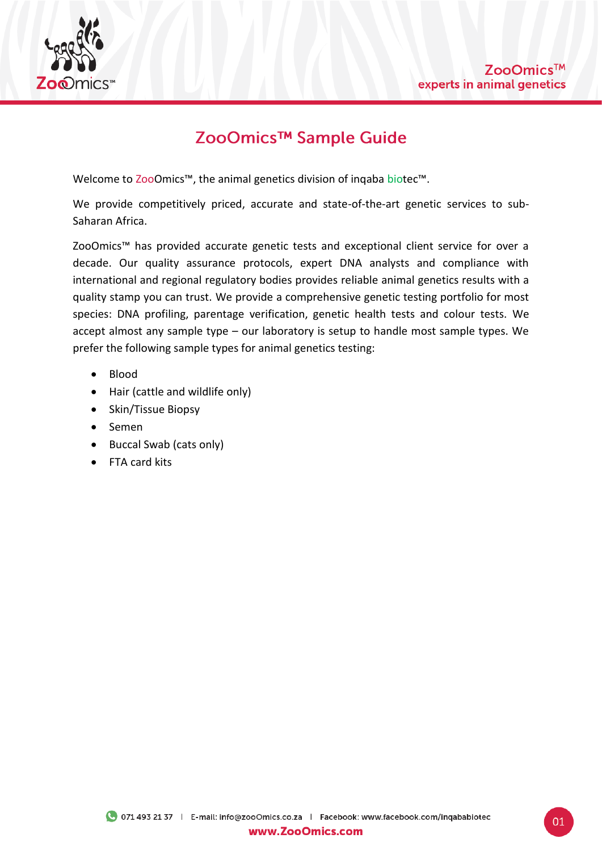

# ZooOmics™ Sample Guide

Welcome to ZooOmics™, the animal genetics division of inqaba biotec™.

We provide competitively priced, accurate and state-of-the-art genetic services to sub-Saharan Africa.

ZooOmics™ has provided accurate genetic tests and exceptional client service for over a decade. Our quality assurance protocols, expert DNA analysts and compliance with international and regional regulatory bodies provides reliable animal genetics results with a quality stamp you can trust. We provide a comprehensive genetic testing portfolio for most species: DNA profiling, parentage verification, genetic health tests and colour tests. We accept almost any sample type – our laboratory is setup to handle most sample types. We prefer the following sample types for animal genetics testing:

- Blood
- Hair (cattle and wildlife only)
- Skin/Tissue Biopsy
- Semen
- Buccal Swab (cats only)
- FTA card kits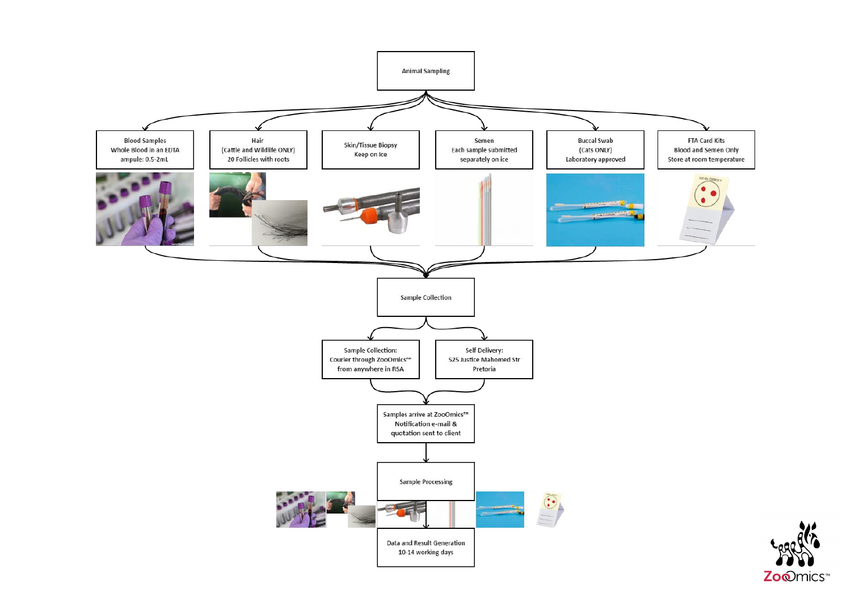

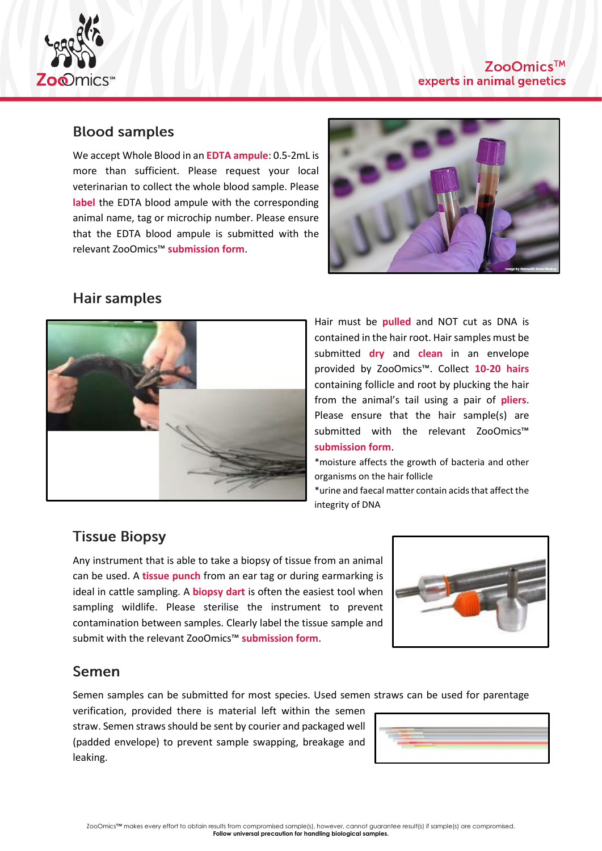

### **Blood samples**

We accept Whole Blood in an **EDTA ampule**: 0.5-2mL is more than sufficient. Please request your local veterinarian to collect the whole blood sample. Please **label** the EDTA blood ampule with the corresponding animal name, tag or microchip number. Please ensure that the EDTA blood ampule is submitted with the relevant ZooOmics™ **submission form**.



#### **Hair samples**



Hair must be **pulled** and NOT cut as DNA is contained in the hair root. Hair samples must be submitted **dry** and **clean** in an envelope provided by ZooOmics™. Collect **10-20 hairs** containing follicle and root by plucking the hair from the animal's tail using a pair of **pliers**. Please ensure that the hair sample(s) are submitted with the relevant ZooOmics™ **submission form**.

\*moisture affects the growth of bacteria and other organisms on the hair follicle

\*urine and faecal matter contain acids that affect the integrity of DNA

# **Tissue Biopsy**

Any instrument that is able to take a biopsy of tissue from an animal can be used. A **tissue punch** from an ear tag or during earmarking is ideal in cattle sampling. A **biopsy dart** is often the easiest tool when sampling wildlife. Please sterilise the instrument to prevent contamination between samples. Clearly label the tissue sample and submit with the relevant ZooOmics™ **submission form**.



## Semen

Semen samples can be submitted for most species. Used semen straws can be used for parentage

verification, provided there is material left within the semen straw. Semen straws should be sent by courier and packaged well (padded envelope) to prevent sample swapping, breakage and leaking.